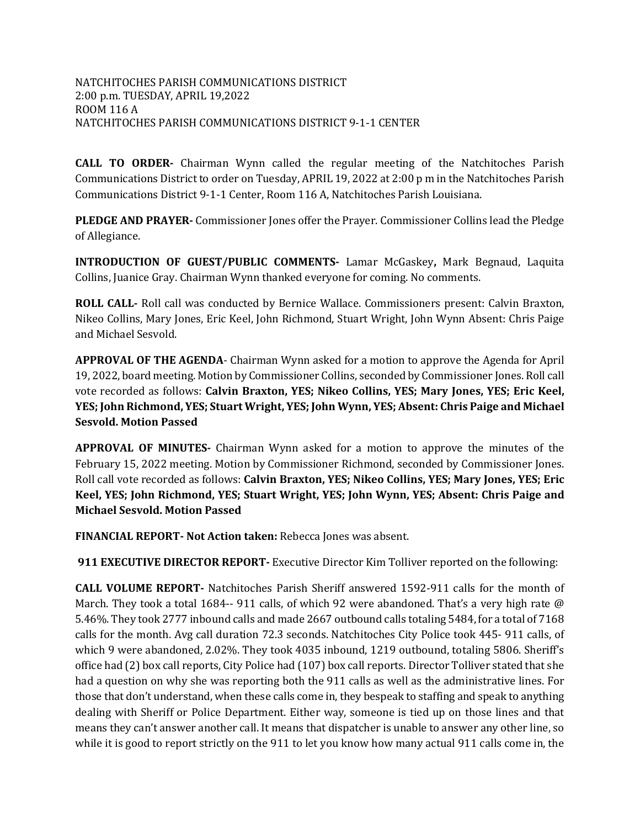**CALL TO ORDER-** Chairman Wynn called the regular meeting of the Natchitoches Parish Communications District to order on Tuesday, APRIL 19, 2022 at 2:00 p m in the Natchitoches Parish Communications District 9-1-1 Center, Room 116 A, Natchitoches Parish Louisiana.

**PLEDGE AND PRAYER-** Commissioner Jones offer the Prayer. Commissioner Collins lead the Pledge of Allegiance.

**INTRODUCTION OF GUEST/PUBLIC COMMENTS-** Lamar McGaskey**,** Mark Begnaud, Laquita Collins, Juanice Gray. Chairman Wynn thanked everyone for coming. No comments.

**ROLL CALL-** Roll call was conducted by Bernice Wallace. Commissioners present: Calvin Braxton, Nikeo Collins, Mary Jones, Eric Keel, John Richmond, Stuart Wright, John Wynn Absent: Chris Paige and Michael Sesvold.

**APPROVAL OF THE AGENDA**- Chairman Wynn asked for a motion to approve the Agenda for April 19, 2022, board meeting. Motion by Commissioner Collins, seconded by Commissioner Jones. Roll call vote recorded as follows: **Calvin Braxton, YES; Nikeo Collins, YES; Mary Jones, YES; Eric Keel, YES; John Richmond, YES; Stuart Wright, YES; John Wynn, YES; Absent: Chris Paige and Michael Sesvold. Motion Passed**

**APPROVAL OF MINUTES-** Chairman Wynn asked for a motion to approve the minutes of the February 15, 2022 meeting. Motion by Commissioner Richmond, seconded by Commissioner Jones. Roll call vote recorded as follows: **Calvin Braxton, YES; Nikeo Collins, YES; Mary Jones, YES; Eric Keel, YES; John Richmond, YES; Stuart Wright, YES; John Wynn, YES; Absent: Chris Paige and Michael Sesvold. Motion Passed**

**FINANCIAL REPORT- Not Action taken:** Rebecca Jones was absent.

**911 EXECUTIVE DIRECTOR REPORT-** Executive Director Kim Tolliver reported on the following:

**CALL VOLUME REPORT-** Natchitoches Parish Sheriff answered 1592-911 calls for the month of March. They took a total 1684-- 911 calls, of which 92 were abandoned. That's a very high rate @ 5.46%. They took 2777 inbound calls and made 2667 outbound calls totaling 5484, for a total of 7168 calls for the month. Avg call duration 72.3 seconds. Natchitoches City Police took 445- 911 calls, of which 9 were abandoned, 2.02%. They took 4035 inbound, 1219 outbound, totaling 5806. Sheriff's office had (2) box call reports, City Police had (107) box call reports. Director Tolliver stated that she had a question on why she was reporting both the 911 calls as well as the administrative lines. For those that don't understand, when these calls come in, they bespeak to staffing and speak to anything dealing with Sheriff or Police Department. Either way, someone is tied up on those lines and that means they can't answer another call. It means that dispatcher is unable to answer any other line, so while it is good to report strictly on the 911 to let you know how many actual 911 calls come in, the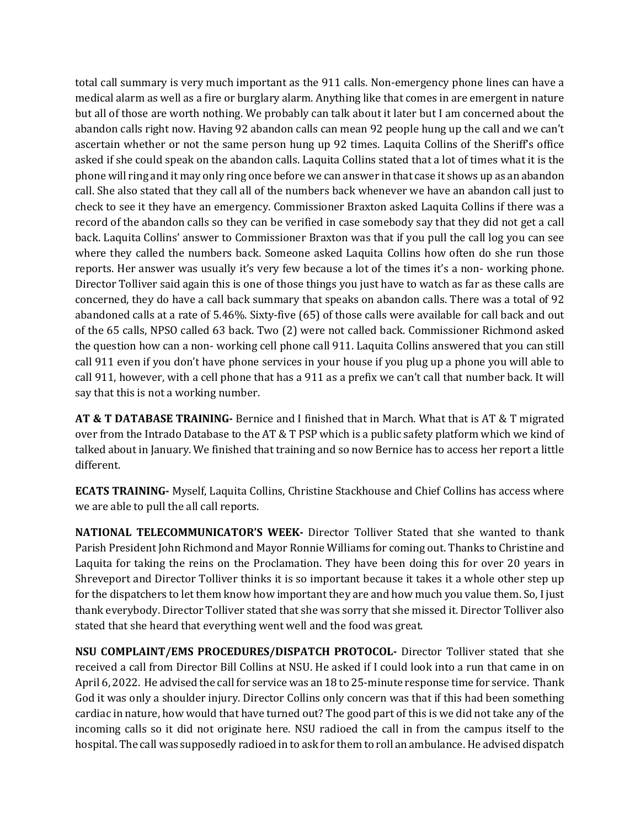total call summary is very much important as the 911 calls. Non-emergency phone lines can have a medical alarm as well as a fire or burglary alarm. Anything like that comes in are emergent in nature but all of those are worth nothing. We probably can talk about it later but I am concerned about the abandon calls right now. Having 92 abandon calls can mean 92 people hung up the call and we can't ascertain whether or not the same person hung up 92 times. Laquita Collins of the Sheriff's office asked if she could speak on the abandon calls. Laquita Collins stated that a lot of times what it is the phone will ring and it may only ring once before we can answer in that case it shows up as an abandon call. She also stated that they call all of the numbers back whenever we have an abandon call just to check to see it they have an emergency. Commissioner Braxton asked Laquita Collins if there was a record of the abandon calls so they can be verified in case somebody say that they did not get a call back. Laquita Collins' answer to Commissioner Braxton was that if you pull the call log you can see where they called the numbers back. Someone asked Laquita Collins how often do she run those reports. Her answer was usually it's very few because a lot of the times it's a non- working phone. Director Tolliver said again this is one of those things you just have to watch as far as these calls are concerned, they do have a call back summary that speaks on abandon calls. There was a total of 92 abandoned calls at a rate of 5.46%. Sixty-five (65) of those calls were available for call back and out of the 65 calls, NPSO called 63 back. Two (2) were not called back. Commissioner Richmond asked the question how can a non- working cell phone call 911. Laquita Collins answered that you can still call 911 even if you don't have phone services in your house if you plug up a phone you will able to call 911, however, with a cell phone that has a 911 as a prefix we can't call that number back. It will say that this is not a working number.

**AT & T DATABASE TRAINING-** Bernice and I finished that in March. What that is AT & T migrated over from the Intrado Database to the AT & T PSP which is a public safety platform which we kind of talked about in January. We finished that training and so now Bernice has to access her report a little different.

**ECATS TRAINING-** Myself, Laquita Collins, Christine Stackhouse and Chief Collins has access where we are able to pull the all call reports.

**NATIONAL TELECOMMUNICATOR'S WEEK-** Director Tolliver Stated that she wanted to thank Parish President John Richmond and Mayor Ronnie Williams for coming out. Thanks to Christine and Laquita for taking the reins on the Proclamation. They have been doing this for over 20 years in Shreveport and Director Tolliver thinks it is so important because it takes it a whole other step up for the dispatchers to let them know how important they are and how much you value them. So, I just thank everybody. Director Tolliver stated that she was sorry that she missed it. Director Tolliver also stated that she heard that everything went well and the food was great.

**NSU COMPLAINT/EMS PROCEDURES/DISPATCH PROTOCOL-** Director Tolliver stated that she received a call from Director Bill Collins at NSU. He asked if I could look into a run that came in on April 6, 2022. He advised the call for service was an 18 to 25-minute response time for service. Thank God it was only a shoulder injury. Director Collins only concern was that if this had been something cardiac in nature, how would that have turned out? The good part of this is we did not take any of the incoming calls so it did not originate here. NSU radioed the call in from the campus itself to the hospital. The call was supposedly radioed in to ask for them to roll an ambulance. He advised dispatch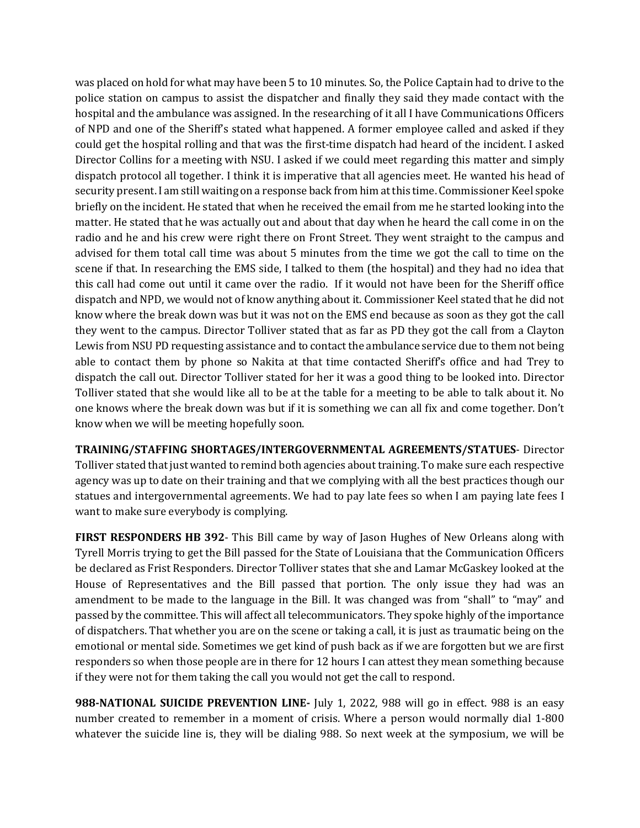was placed on hold for what may have been 5 to 10 minutes. So, the Police Captain had to drive to the police station on campus to assist the dispatcher and finally they said they made contact with the hospital and the ambulance was assigned. In the researching of it all I have Communications Officers of NPD and one of the Sheriff's stated what happened. A former employee called and asked if they could get the hospital rolling and that was the first-time dispatch had heard of the incident. I asked Director Collins for a meeting with NSU. I asked if we could meet regarding this matter and simply dispatch protocol all together. I think it is imperative that all agencies meet. He wanted his head of security present. I am still waiting on a response back from him at this time. Commissioner Keel spoke briefly on the incident. He stated that when he received the email from me he started looking into the matter. He stated that he was actually out and about that day when he heard the call come in on the radio and he and his crew were right there on Front Street. They went straight to the campus and advised for them total call time was about 5 minutes from the time we got the call to time on the scene if that. In researching the EMS side, I talked to them (the hospital) and they had no idea that this call had come out until it came over the radio. If it would not have been for the Sheriff office dispatch and NPD, we would not of know anything about it. Commissioner Keel stated that he did not know where the break down was but it was not on the EMS end because as soon as they got the call they went to the campus. Director Tolliver stated that as far as PD they got the call from a Clayton Lewis from NSU PD requesting assistance and to contact the ambulance service due to them not being able to contact them by phone so Nakita at that time contacted Sheriff's office and had Trey to dispatch the call out. Director Tolliver stated for her it was a good thing to be looked into. Director Tolliver stated that she would like all to be at the table for a meeting to be able to talk about it. No one knows where the break down was but if it is something we can all fix and come together. Don't know when we will be meeting hopefully soon.

**TRAINING/STAFFING SHORTAGES/INTERGOVERNMENTAL AGREEMENTS/STATUES**- Director Tolliver stated that just wanted to remind both agencies about training. To make sure each respective agency was up to date on their training and that we complying with all the best practices though our statues and intergovernmental agreements. We had to pay late fees so when I am paying late fees I want to make sure everybody is complying.

**FIRST RESPONDERS HB 392**- This Bill came by way of Jason Hughes of New Orleans along with Tyrell Morris trying to get the Bill passed for the State of Louisiana that the Communication Officers be declared as Frist Responders. Director Tolliver states that she and Lamar McGaskey looked at the House of Representatives and the Bill passed that portion. The only issue they had was an amendment to be made to the language in the Bill. It was changed was from "shall" to "may" and passed by the committee. This will affect all telecommunicators. They spoke highly of the importance of dispatchers. That whether you are on the scene or taking a call, it is just as traumatic being on the emotional or mental side. Sometimes we get kind of push back as if we are forgotten but we are first responders so when those people are in there for 12 hours I can attest they mean something because if they were not for them taking the call you would not get the call to respond.

**988-NATIONAL SUICIDE PREVENTION LINE-** July 1, 2022, 988 will go in effect. 988 is an easy number created to remember in a moment of crisis. Where a person would normally dial 1-800 whatever the suicide line is, they will be dialing 988. So next week at the symposium, we will be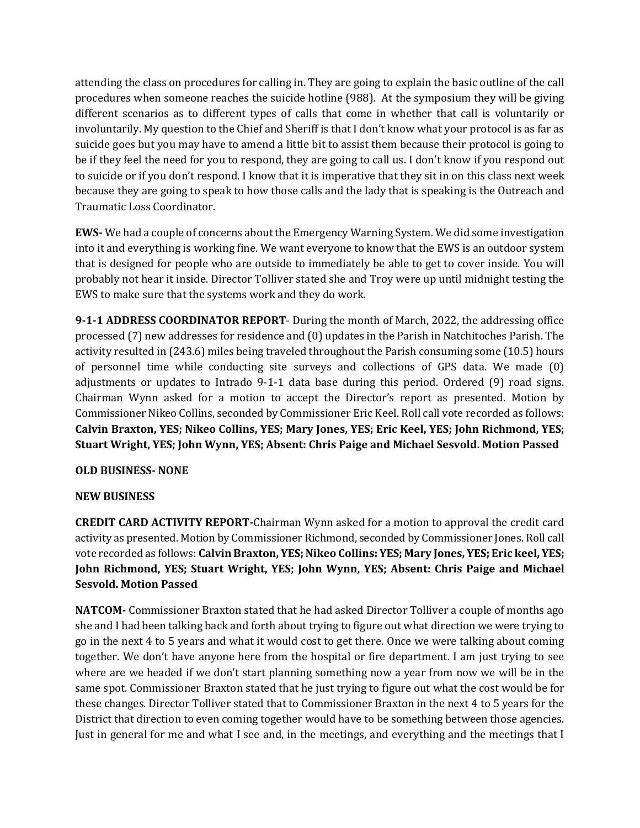attending the class on procedures for calling in. They are going to explain the basic outline of the call procedures when someone reaches the suicide hotline (988). At the symposium they will be giving different scenarios as to different types of calls that come in whether that call is voluntarily or involuntarily. My question to the Chief and Sheriff is that I don't know what your protocol is as far as suicide goes but you may have to amend a little bit to assist them because their protocol is going to be if they feel the need for you to respond, they are going to call us. I don't know if you respond out to suicide or if you don't respond. I know that it is imperative that they sit in on this class next week because they are going to speak to how those calls and the lady that is speaking is the Outreach and Traumatic Loss Coordinator.

**EWS-** We had a couple of concerns about the Emergency Warning System. We did some investigation into it and everything is working fine. We want everyone to know that the EWS is an outdoor system that is designed for people who are outside to immediately be able to get to cover inside. You will probably not hear it inside. Director Tolliver stated she and Troy were up until midnight testing the EWS to make sure that the systems work and they do work.

**9-1-1 ADDRESS COORDINATOR REPORT**- During the month of March, 2022, the addressing office processed (7) new addresses for residence and (0) updates in the Parish in Natchitoches Parish. The activity resulted in (243.6) miles being traveled throughout the Parish consuming some (10.5) hours of personnel time while conducting site surveys and collections of GPS data. We made (0) adjustments or updates to Intrado 9-1-1 data base during this period. Ordered (9) road signs. Chairman Wynn asked for a motion to accept the Director's report as presented. Motion by Commissioner Nikeo Collins, seconded by Commissioner Eric Keel. Roll call vote recorded as follows: **Calvin Braxton, YES; Nikeo Collins, YES; Mary Jones, YES; Eric Keel, YES; John Richmond, YES; Stuart Wright, YES; John Wynn, YES; Absent: Chris Paige and Michael Sesvold. Motion Passed**

## **OLD BUSINESS- NONE**

## **NEW BUSINESS**

**CREDIT CARD ACTIVITY REPORT-**Chairman Wynn asked for a motion to approval the credit card activity as presented. Motion by Commissioner Richmond, seconded by Commissioner Jones. Roll call vote recorded as follows: **Calvin Braxton, YES; Nikeo Collins: YES; Mary Jones, YES; Eric keel, YES; John Richmond, YES; Stuart Wright, YES; John Wynn, YES; Absent: Chris Paige and Michael Sesvold. Motion Passed**

**NATCOM-** Commissioner Braxton stated that he had asked Director Tolliver a couple of months ago she and I had been talking back and forth about trying to figure out what direction we were trying to go in the next 4 to 5 years and what it would cost to get there. Once we were talking about coming together. We don't have anyone here from the hospital or fire department. I am just trying to see where are we headed if we don't start planning something now a year from now we will be in the same spot. Commissioner Braxton stated that he just trying to figure out what the cost would be for these changes. Director Tolliver stated that to Commissioner Braxton in the next 4 to 5 years for the District that direction to even coming together would have to be something between those agencies. Just in general for me and what I see and, in the meetings, and everything and the meetings that I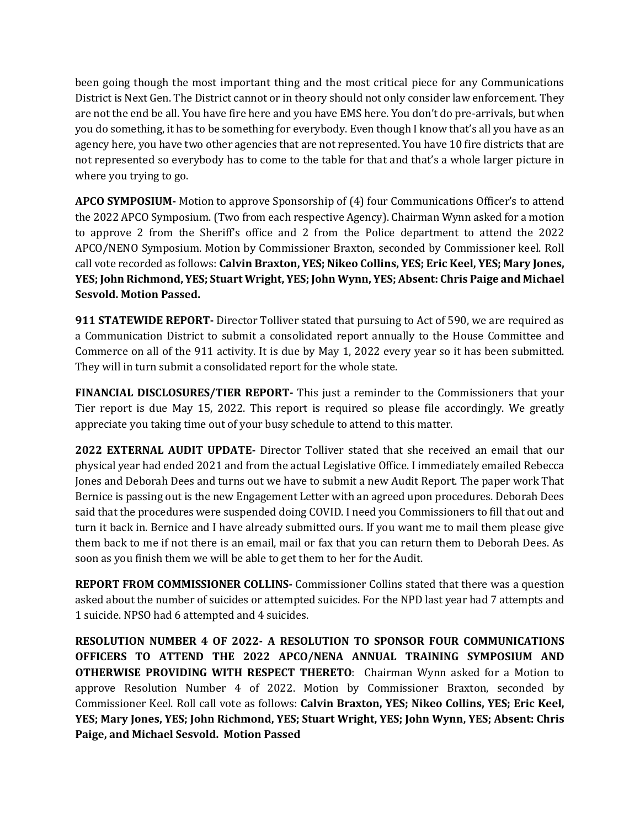been going though the most important thing and the most critical piece for any Communications District is Next Gen. The District cannot or in theory should not only consider law enforcement. They are not the end be all. You have fire here and you have EMS here. You don't do pre-arrivals, but when you do something, it has to be something for everybody. Even though I know that's all you have as an agency here, you have two other agencies that are not represented. You have 10 fire districts that are not represented so everybody has to come to the table for that and that's a whole larger picture in where you trying to go.

**APCO SYMPOSIUM-** Motion to approve Sponsorship of (4) four Communications Officer's to attend the 2022 APCO Symposium. (Two from each respective Agency). Chairman Wynn asked for a motion to approve 2 from the Sheriff's office and 2 from the Police department to attend the 2022 APCO/NENO Symposium. Motion by Commissioner Braxton, seconded by Commissioner keel. Roll call vote recorded as follows: **Calvin Braxton, YES; Nikeo Collins, YES; Eric Keel, YES; Mary Jones, YES; John Richmond, YES; Stuart Wright, YES; John Wynn, YES; Absent: Chris Paige and Michael Sesvold. Motion Passed.**

**911 STATEWIDE REPORT-** Director Tolliver stated that pursuing to Act of 590, we are required as a Communication District to submit a consolidated report annually to the House Committee and Commerce on all of the 911 activity. It is due by May 1, 2022 every year so it has been submitted. They will in turn submit a consolidated report for the whole state.

**FINANCIAL DISCLOSURES/TIER REPORT-** This just a reminder to the Commissioners that your Tier report is due May 15, 2022. This report is required so please file accordingly. We greatly appreciate you taking time out of your busy schedule to attend to this matter.

**2022 EXTERNAL AUDIT UPDATE-** Director Tolliver stated that she received an email that our physical year had ended 2021 and from the actual Legislative Office. I immediately emailed Rebecca Jones and Deborah Dees and turns out we have to submit a new Audit Report. The paper work That Bernice is passing out is the new Engagement Letter with an agreed upon procedures. Deborah Dees said that the procedures were suspended doing COVID. I need you Commissioners to fill that out and turn it back in. Bernice and I have already submitted ours. If you want me to mail them please give them back to me if not there is an email, mail or fax that you can return them to Deborah Dees. As soon as you finish them we will be able to get them to her for the Audit.

**REPORT FROM COMMISSIONER COLLINS-** Commissioner Collins stated that there was a question asked about the number of suicides or attempted suicides. For the NPD last year had 7 attempts and 1 suicide. NPSO had 6 attempted and 4 suicides.

**RESOLUTION NUMBER 4 OF 2022- A RESOLUTION TO SPONSOR FOUR COMMUNICATIONS OFFICERS TO ATTEND THE 2022 APCO/NENA ANNUAL TRAINING SYMPOSIUM AND OTHERWISE PROVIDING WITH RESPECT THERETO**: Chairman Wynn asked for a Motion to approve Resolution Number 4 of 2022. Motion by Commissioner Braxton, seconded by Commissioner Keel. Roll call vote as follows: **Calvin Braxton, YES; Nikeo Collins, YES; Eric Keel, YES; Mary Jones, YES; John Richmond, YES; Stuart Wright, YES; John Wynn, YES; Absent: Chris Paige, and Michael Sesvold. Motion Passed**